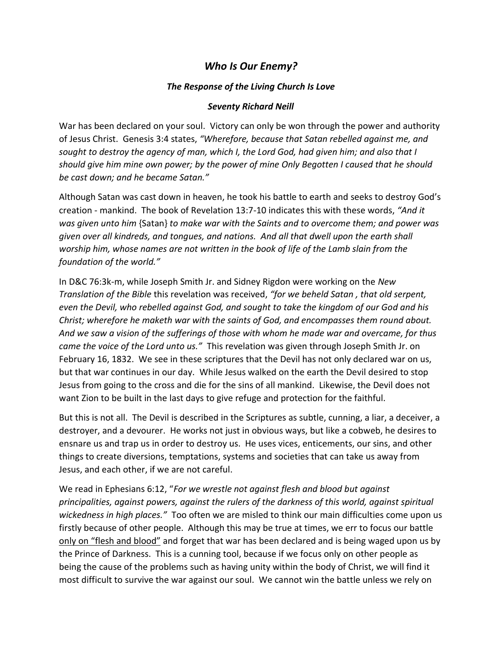## *Who Is Our Enemy?*

## *The Response of the Living Church Is Love*

## *Seventy Richard Neill*

War has been declared on your soul. Victory can only be won through the power and authority of Jesus Christ. Genesis 3:4 states, *"Wherefore, because that Satan rebelled against me, and sought to destroy the agency of man, which I, the Lord God, had given him; and also that I should give him mine own power; by the power of mine Only Begotten I caused that he should be cast down; and he became Satan."*

Although Satan was cast down in heaven, he took his battle to earth and seeks to destroy God's creation - mankind. The book of Revelation 13:7-10 indicates this with these words, *"And it was given unto him* {Satan} *to make war with the Saints and to overcome them; and power was given over all kindreds, and tongues, and nations. And all that dwell upon the earth shall worship him, whose names are not written in the book of life of the Lamb slain from the foundation of the world."* 

In D&C 76:3k-m, while Joseph Smith Jr. and Sidney Rigdon were working on the *New Translation of the Bible* this revelation was received, *"for we beheld Satan , that old serpent, even the Devil, who rebelled against God, and sought to take the kingdom of our God and his Christ; wherefore he maketh war with the saints of God, and encompasses them round about. And we saw a vision of the sufferings of those with whom he made war and overcame, for thus came the voice of the Lord unto us."* This revelation was given through Joseph Smith Jr. on February 16, 1832. We see in these scriptures that the Devil has not only declared war on us, but that war continues in our day. While Jesus walked on the earth the Devil desired to stop Jesus from going to the cross and die for the sins of all mankind. Likewise, the Devil does not want Zion to be built in the last days to give refuge and protection for the faithful.

But this is not all. The Devil is described in the Scriptures as subtle, cunning, a liar, a deceiver, a destroyer, and a devourer. He works not just in obvious ways, but like a cobweb, he desires to ensnare us and trap us in order to destroy us. He uses vices, enticements, our sins, and other things to create diversions, temptations, systems and societies that can take us away from Jesus, and each other, if we are not careful.

We read in Ephesians 6:12, "*For we wrestle not against flesh and blood but against principalities, against powers, against the rulers of the darkness of this world, against spiritual wickedness in high places."* Too often we are misled to think our main difficulties come upon us firstly because of other people. Although this may be true at times, we err to focus our battle only on "flesh and blood" and forget that war has been declared and is being waged upon us by the Prince of Darkness. This is a cunning tool, because if we focus only on other people as being the cause of the problems such as having unity within the body of Christ, we will find it most difficult to survive the war against our soul. We cannot win the battle unless we rely on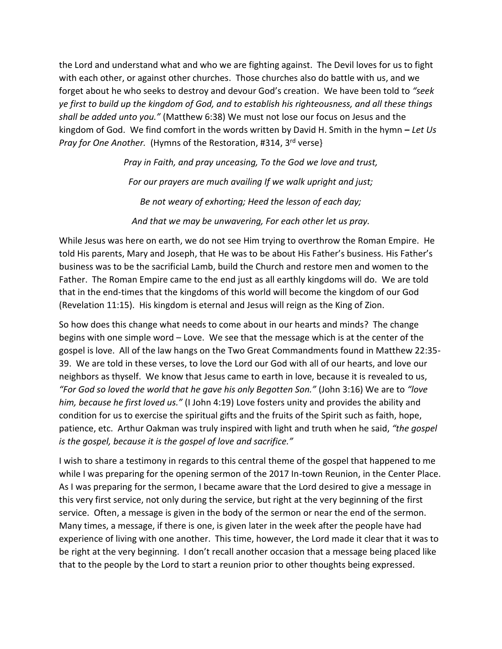the Lord and understand what and who we are fighting against. The Devil loves for us to fight with each other, or against other churches. Those churches also do battle with us, and we forget about he who seeks to destroy and devour God's creation. We have been told to *"seek ye first to build up the kingdom of God, and to establish his righteousness, and all these things shall be added unto you."* (Matthew 6:38) We must not lose our focus on Jesus and the kingdom of God. We find comfort in the words written by David H. Smith in the hymn **–** *Let Us*  Pray for One Another. (Hymns of the Restoration, #314, 3<sup>rd</sup> verse}

> *Pray in Faith, and pray unceasing, To the God we love and trust, For our prayers are much availing If we walk upright and just; Be not weary of exhorting; Heed the lesson of each day; And that we may be unwavering, For each other let us pray.*

While Jesus was here on earth, we do not see Him trying to overthrow the Roman Empire. He told His parents, Mary and Joseph, that He was to be about His Father's business. His Father's business was to be the sacrificial Lamb, build the Church and restore men and women to the Father. The Roman Empire came to the end just as all earthly kingdoms will do. We are told that in the end-times that the kingdoms of this world will become the kingdom of our God (Revelation 11:15). His kingdom is eternal and Jesus will reign as the King of Zion.

So how does this change what needs to come about in our hearts and minds? The change begins with one simple word – Love. We see that the message which is at the center of the gospel is love. All of the law hangs on the Two Great Commandments found in Matthew 22:35- 39. We are told in these verses, to love the Lord our God with all of our hearts, and love our neighbors as thyself. We know that Jesus came to earth in love, because it is revealed to us, *"For God so loved the world that he gave his only Begotten Son."* (John 3:16) We are to *"love him, because he first loved us."* (I John 4:19) Love fosters unity and provides the ability and condition for us to exercise the spiritual gifts and the fruits of the Spirit such as faith, hope, patience, etc. Arthur Oakman was truly inspired with light and truth when he said, *"the gospel is the gospel, because it is the gospel of love and sacrifice."*

I wish to share a testimony in regards to this central theme of the gospel that happened to me while I was preparing for the opening sermon of the 2017 In-town Reunion, in the Center Place. As I was preparing for the sermon, I became aware that the Lord desired to give a message in this very first service, not only during the service, but right at the very beginning of the first service. Often, a message is given in the body of the sermon or near the end of the sermon. Many times, a message, if there is one, is given later in the week after the people have had experience of living with one another. This time, however, the Lord made it clear that it was to be right at the very beginning. I don't recall another occasion that a message being placed like that to the people by the Lord to start a reunion prior to other thoughts being expressed.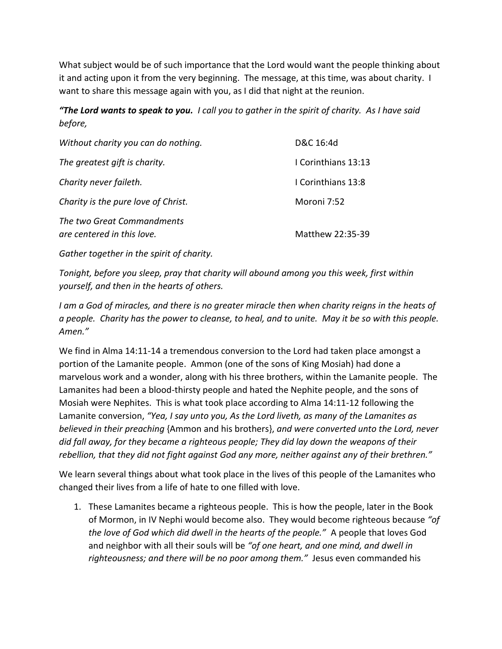What subject would be of such importance that the Lord would want the people thinking about it and acting upon it from the very beginning. The message, at this time, was about charity. I want to share this message again with you, as I did that night at the reunion.

*"The Lord wants to speak to you. I call you to gather in the spirit of charity. As I have said before,* 

| Without charity you can do nothing.                      | D&C 16:4d           |
|----------------------------------------------------------|---------------------|
| The greatest gift is charity.                            | I Corinthians 13:13 |
| Charity never faileth.                                   | I Corinthians 13:8  |
| Charity is the pure love of Christ.                      | Moroni 7:52         |
| The two Great Commandments<br>are centered in this love. | Matthew 22:35-39    |

*Gather together in the spirit of charity.*

*Tonight, before you sleep, pray that charity will abound among you this week, first within yourself, and then in the hearts of others.*

*I am a God of miracles, and there is no greater miracle then when charity reigns in the heats of a people. Charity has the power to cleanse, to heal, and to unite. May it be so with this people. Amen."* 

We find in Alma 14:11-14 a tremendous conversion to the Lord had taken place amongst a portion of the Lamanite people. Ammon (one of the sons of King Mosiah) had done a marvelous work and a wonder, along with his three brothers, within the Lamanite people. The Lamanites had been a blood-thirsty people and hated the Nephite people, and the sons of Mosiah were Nephites. This is what took place according to Alma 14:11-12 following the Lamanite conversion, *"Yea, I say unto you, As the Lord liveth, as many of the Lamanites as believed in their preaching* {Ammon and his brothers}, *and were converted unto the Lord, never did fall away, for they became a righteous people; They did lay down the weapons of their rebellion, that they did not fight against God any more, neither against any of their brethren."*

We learn several things about what took place in the lives of this people of the Lamanites who changed their lives from a life of hate to one filled with love.

1. These Lamanites became a righteous people. This is how the people, later in the Book of Mormon, in IV Nephi would become also. They would become righteous because *"of the love of God which did dwell in the hearts of the people."* A people that loves God and neighbor with all their souls will be *"of one heart, and one mind, and dwell in righteousness; and there will be no poor among them."* Jesus even commanded his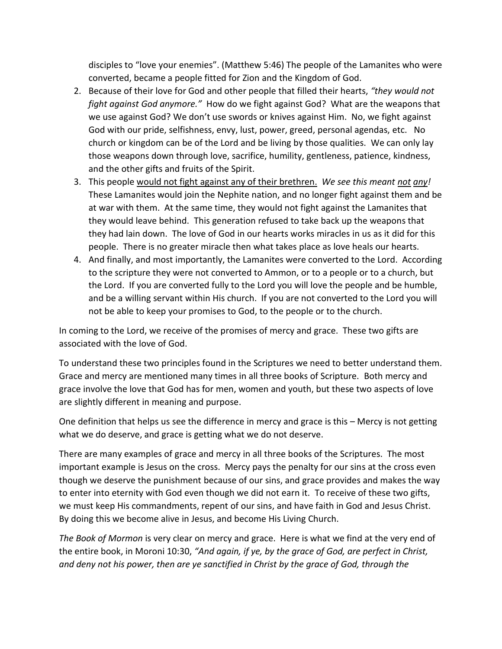disciples to "love your enemies". (Matthew 5:46) The people of the Lamanites who were converted, became a people fitted for Zion and the Kingdom of God.

- 2. Because of their love for God and other people that filled their hearts, *"they would not fight against God anymore."* How do we fight against God? What are the weapons that we use against God? We don't use swords or knives against Him. No, we fight against God with our pride, selfishness, envy, lust, power, greed, personal agendas, etc. No church or kingdom can be of the Lord and be living by those qualities. We can only lay those weapons down through love, sacrifice, humility, gentleness, patience, kindness, and the other gifts and fruits of the Spirit.
- 3. This people would not fight against any of their brethren. *We see this meant not any!*  These Lamanites would join the Nephite nation, and no longer fight against them and be at war with them. At the same time, they would not fight against the Lamanites that they would leave behind.This generation refused to take back up the weapons that they had lain down. The love of God in our hearts works miracles in us as it did for this people. There is no greater miracle then what takes place as love heals our hearts.
- 4. And finally, and most importantly, the Lamanites were converted to the Lord. According to the scripture they were not converted to Ammon, or to a people or to a church, but the Lord. If you are converted fully to the Lord you will love the people and be humble, and be a willing servant within His church. If you are not converted to the Lord you will not be able to keep your promises to God, to the people or to the church.

In coming to the Lord, we receive of the promises of mercy and grace. These two gifts are associated with the love of God.

To understand these two principles found in the Scriptures we need to better understand them. Grace and mercy are mentioned many times in all three books of Scripture. Both mercy and grace involve the love that God has for men, women and youth, but these two aspects of love are slightly different in meaning and purpose.

One definition that helps us see the difference in mercy and grace is this – Mercy is not getting what we do deserve, and grace is getting what we do not deserve.

There are many examples of grace and mercy in all three books of the Scriptures. The most important example is Jesus on the cross. Mercy pays the penalty for our sins at the cross even though we deserve the punishment because of our sins, and grace provides and makes the way to enter into eternity with God even though we did not earn it. To receive of these two gifts, we must keep His commandments, repent of our sins, and have faith in God and Jesus Christ. By doing this we become alive in Jesus, and become His Living Church.

*The Book of Mormon* is very clear on mercy and grace. Here is what we find at the very end of the entire book, in Moroni 10:30, *"And again, if ye, by the grace of God, are perfect in Christ, and deny not his power, then are ye sanctified in Christ by the grace of God, through the*